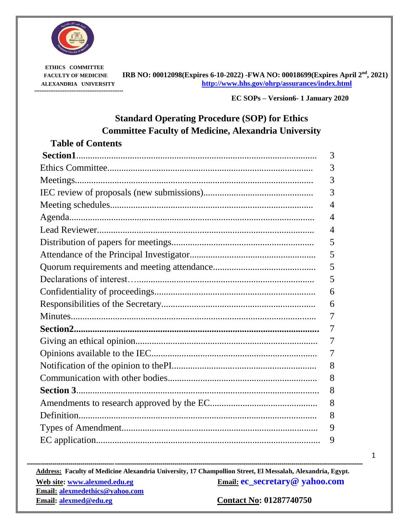

 **ETHICS COMMITTEE --------------------------------------------------**

 **FACULTY OF MEDICINE IRB NO: 00012098(Expires 6-10-2022) -FWA NO: 00018699(Expires April 2nd, 2021) ALEXANDRIA UNIVERSITY http://www.hhs.gov/ohrp/assurances/index.html**

**EC SOPs – Version6- <sup>1</sup> January <sup>2020</sup>**

# **Standard Operating Procedure (SOP) for Ethics Committee Faculty of Medicine, Alexandria University**

| <b>Table of Contents</b> |                |
|--------------------------|----------------|
|                          | 3              |
|                          | 3              |
|                          | 3              |
|                          | 3              |
|                          | $\overline{4}$ |
|                          | 4              |
|                          | 4              |
|                          | 5              |
|                          | 5              |
|                          | 5              |
|                          | 5              |
|                          | 6              |
|                          | 6              |
|                          | 7              |
|                          | 7              |
|                          | 7              |
|                          | 7              |
|                          | 8              |
|                          | 8              |
|                          | 8              |
|                          | 8              |
|                          | 8              |
|                          | 9              |
|                          | 9              |

1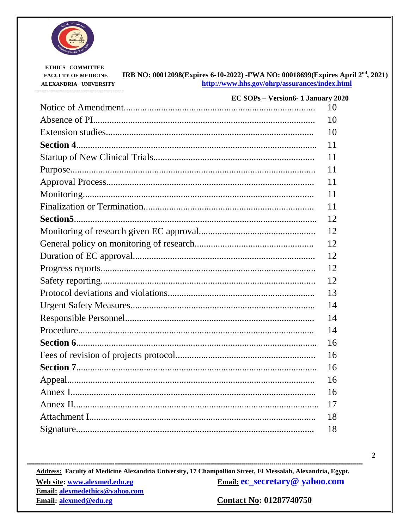

ETHICS COMMITTEE IRB NO: 00012098(Expires 6-10-2022) -FWA NO: 00018699(Expires April 2<sup>nd</sup>, 2021) **FACULTY OF MEDICINE** http://www.hhs.gov/ohrp/assurances/index.html ALEXANDRIA UNIVERSITY ------------------------------------

| <b>EC SOPs - Version6-1 January 2020</b> |    |
|------------------------------------------|----|
|                                          | 10 |
|                                          | 10 |
|                                          | 10 |
|                                          | 11 |
|                                          | 11 |
|                                          | 11 |
|                                          | 11 |
|                                          | 11 |
|                                          | 11 |
|                                          | 12 |
|                                          | 12 |
|                                          | 12 |
|                                          | 12 |
|                                          | 12 |
|                                          | 12 |
|                                          | 13 |
|                                          | 14 |
|                                          | 14 |
|                                          | 14 |
|                                          | 16 |
|                                          | 16 |
|                                          | 16 |
|                                          | 16 |
|                                          | 16 |
|                                          | 17 |
|                                          | 18 |
|                                          | 18 |

Address: Faculty of Medicine Alexandria University, 17 Champollion Street, El Messalah, Alexandria, Egypt. Email: ec\_secretary@ yahoo.com Web site: www.alexmed.edu.eg Email: alexmedethics@yahoo.com **Contact No: 01287740750** Email: alexmed@edu.eg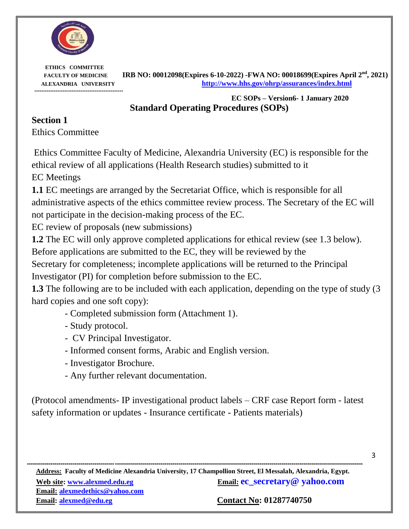

 **ETHICS COMMITTEE --------------------------------------------------**

 **FACULTY OF MEDICINE IRB NO: 00012098(Expires 6-10-2022) -FWA NO: 00018699(Expires April 2nd, 2021) ALEXANDRIA UNIVERSITY http://www.hhs.gov/ohrp/assurances/index.html**

> **EC SOPs – Version6- <sup>1</sup> January <sup>2020</sup> Standard Operating Procedures (SOPs)**

# **Section 1**

Ethics Committee

Ethics Committee Faculty of Medicine, Alexandria University (EC) is responsible for the ethical review of all applications (Health Research studies) submitted to it

EC Meetings

**1.1** EC meetings are arranged by the Secretariat Office, which is responsible for all administrative aspects of the ethics committee review process. The Secretary of the EC will not participate in the decision-making process of the EC.

EC review of proposals (new submissions)

**1.2** The EC will only approve completed applications for ethical review (see 1.3 below).

Before applications are submitted to the EC, they will be reviewed by the

Secretary for completeness; incomplete applications will be returned to the Principal Investigator (PI) for completion before submission to the EC.

**1.3** The following are to be included with each application, depending on the type of study (3 hard copies and one soft copy):

- Completed submission form (Attachment 1).
- Study protocol.
- CV Principal Investigator.
- Informed consent forms, Arabic and English version.
- Investigator Brochure.
- Any further relevant documentation.

(Protocol amendments- IP investigational product labels – CRF case Report form - latest safety information or updates - Insurance certificate - Patients materials)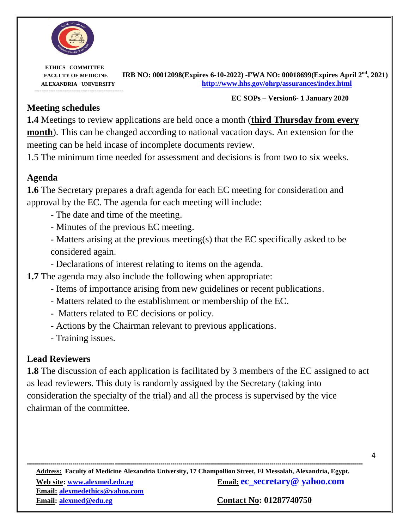

#### **EC SOPs – Version6- <sup>1</sup> January <sup>2020</sup>**

4

#### **Meeting schedules**

**1.4** Meetings to review applications are held once a month (**third Thursday from every month**). This can be changed according to national vacation days. An extension for the meeting can be held incase of incomplete documents review.

1.5 The minimum time needed for assessment and decisions is from two to six weeks.

## **Agenda**

**1.6** The Secretary prepares a draft agenda for each EC meeting for consideration and approval by the EC. The agenda for each meeting will include:

- The date and time of the meeting.
- Minutes of the previous EC meeting.
- Matters arising at the previous meeting(s) that the EC specifically asked to be considered again.
- Declarations of interest relating to items on the agenda.
- **1.7** The agenda may also include the following when appropriate:
	- Items of importance arising from new guidelines or recent publications.
	- Matters related to the establishment or membership of the EC.
	- Matters related to EC decisions or policy.
	- Actions by the Chairman relevant to previous applications.
	- Training issues.

## **Lead Reviewers**

**1.8** The discussion of each application is facilitated by 3 members of the EC assigned to act as lead reviewers. This duty is randomly assigned by the Secretary (taking into consideration the specialty of the trial) and all the process is supervised by the vice chairman of the committee.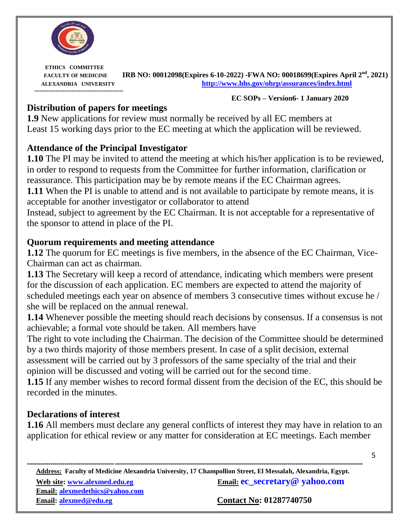

**EC SOPs – Version6- <sup>1</sup> January <sup>2020</sup>**

5

#### **Distribution of papers for meetings**

**1.9** New applications for review must normally be received by all EC members at Least 15 working days prior to the EC meeting at which the application will be reviewed.

## **Attendance of the Principal Investigator**

**1.10** The PI may be invited to attend the meeting at which his/her application is to be reviewed, in order to respond to requests from the Committee for further information, clarification or reassurance. This participation may be by remote means if the EC Chairman agrees. **1.11** When the PI is unable to attend and is not available to participate by remote means, it is acceptable for another investigator or collaborator to attend Instead, subject to agreement by the EC Chairman. It is not acceptable for a representative of the sponsor to attend in place of the PI.

## **Quorum requirements and meeting attendance**

**1.12** The quorum for EC meetings is five members, in the absence of the EC Chairman, Vice-Chairman can act as chairman.

**1.13** The Secretary will keep a record of attendance, indicating which members were present for the discussion of each application. EC members are expected to attend the majority of scheduled meetings each year on absence of members 3 consecutive times without excuse he / she will be replaced on the annual renewal.

**1.14** Whenever possible the meeting should reach decisions by consensus. If a consensus is not achievable; a formal vote should be taken. All members have

The right to vote including the Chairman. The decision of the Committee should be determined by a two thirds majority of those members present. In case of a split decision, external assessment will be carried out by 3 professors of the same specialty of the trial and their opinion will be discussed and voting will be carried out for the second time.

**1.15** If any member wishes to record formal dissent from the decision of the EC, this should be recorded in the minutes.

## **Declarations of interest**

**1.16** All members must declare any general conflicts of interest they may have in relation to an application for ethical review or any matter for consideration at EC meetings. Each member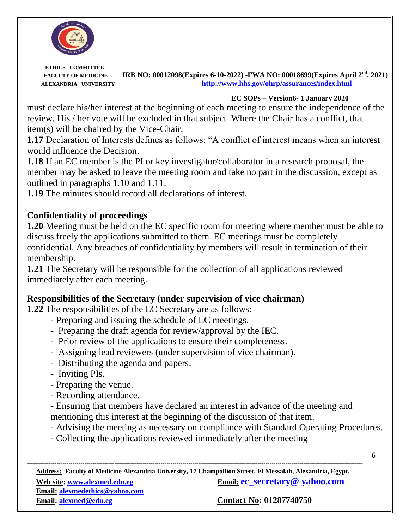

**EC SOPs – Version6- <sup>1</sup> January <sup>2020</sup>**

must declare his/her interest at the beginning of each meeting to ensure the independence of the review. His / her vote will be excluded in that subject .Where the Chair has a conflict, that item(s) will be chaired by the Vice-Chair.

**1.17** Declaration of Interests defines as follows: "A conflict of interest means when an interest would influence the Decision.

**1.18** If an EC member is the PI or key investigator/collaborator in a research proposal, the member may be asked to leave the meeting room and take no part in the discussion, except as outlined in paragraphs 1.10 and 1.11.

**1.19** The minutes should record all declarations of interest.

## **Confidentiality of proceedings**

**1.20** Meeting must be held on the EC specific room for meeting where member must be able to discuss freely the applications submitted to them. EC meetings must be completely confidential. Any breaches of confidentiality by members will result in termination of their membership.

**1.21** The Secretary will be responsible for the collection of all applications reviewed immediately after each meeting.

## **Responsibilities of the Secretary (under supervision of vice chairman)**

**1.22** The responsibilities of the EC Secretary are as follows:

- Preparing and issuing the schedule of EC meetings.
- Preparing the draft agenda for review/approval by the IEC.
- Prior review of the applications to ensure their completeness.
- Assigning lead reviewers (under supervision of vice chairman).
- Distributing the agenda and papers.
- Inviting PIs.
- Preparing the venue.
- Recording attendance.
- Ensuring that members have declared an interest in advance of the meeting and mentioning this interest at the beginning of the discussion of that item.
- Advising the meeting as necessary on compliance with Standard Operating Procedures.
- Collecting the applications reviewed immediately after the meeting

6

**------------------------------------------------------------------------------------------------------------------------------------------------------------------------- Address: Faculty of Medicine Alexandria University, 17 Champollion Street, El Messalah, Alexandria, Egypt. Web site:** www.alexmed.edu.eg **bEmail: ec\_secretary** @ yahoo.com

**Email: alexmedethics@yahoo.com Email: alexmed@edu.eg Contact No: 01287740750**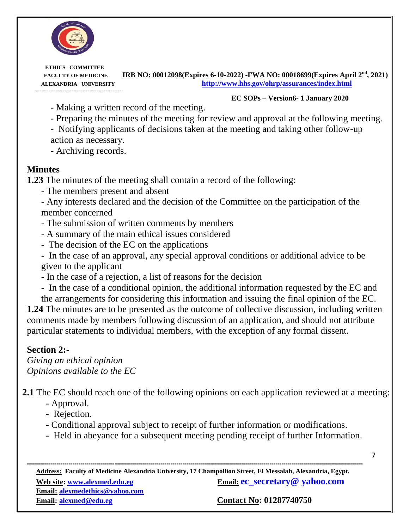

#### **EC SOPs – Version6- <sup>1</sup> January <sup>2020</sup>**

- Making a written record of the meeting.

- Preparing the minutes of the meeting for review and approval at the following meeting.

- Notifying applicants of decisions taken at the meeting and taking other follow-up action as necessary.

- Archiving records.

#### **Minutes**

**1.23** The minutes of the meeting shall contain a record of the following:

- The members present and absent

- Any interests declared and the decision of the Committee on the participation of the member concerned

- The submission of written comments by members
- A summary of the main ethical issues considered
- The decision of the EC on the applications
- In the case of an approval, any special approval conditions or additional advice to be given to the applicant
- In the case of a rejection, a list of reasons for the decision
- In the case of a conditional opinion, the additional information requested by the EC and

the arrangements for considering this information and issuing the final opinion of the EC. **1.24** The minutes are to be presented as the outcome of collective discussion, including written comments made by members following discussion of an application, and should not attribute particular statements to individual members, with the exception of any formal dissent.

#### **Section 2:-**

*Giving an ethical opinion Opinions available to the EC*

**2.1** The EC should reach one of the following opinions on each application reviewed at a meeting:

- Approval.
- Rejection.
- Conditional approval subject to receipt of further information or modifications.
- Held in abeyance for a subsequent meeting pending receipt of further Information.

7

**------------------------------------------------------------------------------------------------------------------------------------------------------------------------- Address: Faculty of Medicine Alexandria University, 17 Champollion Street, El Messalah, Alexandria, Egypt. Web site:** www.alexmed.edu.eg **Email: ec\_secretary** @ yahoo.com **Email: alexmedethics@yahoo.com** 

**Email: alexmed@edu.eg Contact No: 01287740750**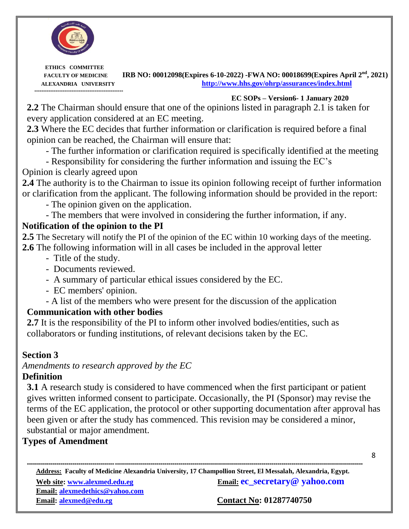

**EC SOPs – Version6- <sup>1</sup> January <sup>2020</sup>**

**2.2** The Chairman should ensure that one of the opinions listed in paragraph 2.1 is taken for every application considered at an EC meeting.

**2.3** Where the EC decides that further information or clarification is required before a final opinion can be reached, the Chairman will ensure that:

- The further information or clarification required is specifically identified at the meeting

- Responsibility for considering the further information and issuing the EC's

# Opinion is clearly agreed upon

**2.4** The authority is to the Chairman to issue its opinion following receipt of further information or clarification from the applicant. The following information should be provided in the report:

- The opinion given on the application.

- The members that were involved in considering the further information, if any.

# **Notification of the opinion to the PI**

**2.5** The Secretary will notify the PI of the opinion of the EC within 10 working days of the meeting. **2.6** The following information will in all cases be included in the approval letter

- Title of the study.
- Documents reviewed.
- A summary of particular ethical issues considered by the EC.
- EC members' opinion.
- A list of the members who were present for the discussion of the application

# **Communication with other bodies**

**2.7** It is the responsibility of the PI to inform other involved bodies/entities, such as collaborators or funding institutions, of relevant decisions taken by the EC.

## **Section 3**

*Amendments to research approved by the EC*

## **Definition**

**3.1** A research study is considered to have commenced when the first participant or patient gives written informed consent to participate. Occasionally, the PI (Sponsor) may revise the terms of the EC application, the protocol or other supporting documentation after approval has been given or after the study has commenced. This revision may be considered a minor, substantial or major amendment.

# **Types of Amendment**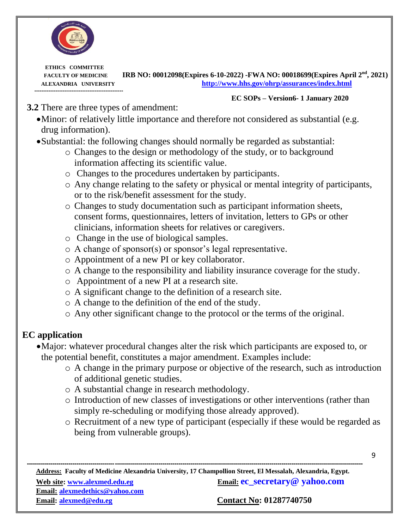

**EC SOPs – Version6- <sup>1</sup> January <sup>2020</sup>**

- **3.2** There are three types of amendment:
	- Minor: of relatively little importance and therefore not considered as substantial (e.g. drug information).

## Substantial: the following changes should normally be regarded as substantial:

- o Changes to the design or methodology of the study, or to background information affecting its scientific value.
- o Changes to the procedures undertaken by participants.
- o Any change relating to the safety or physical or mental integrity of participants, or to the risk/benefit assessment for the study.
- o Changes to study documentation such as participant information sheets, consent forms, questionnaires, letters of invitation, letters to GPs or other clinicians, information sheets for relatives or caregivers.
- o Change in the use of biological samples.
- o A change of sponsor(s) or sponsor's legal representative.
- o Appointment of a new PI or key collaborator.
- o A change to the responsibility and liability insurance coverage for the study.
- o Appointment of a new PI at a research site.
- o A significant change to the definition of a research site.
- o A change to the definition of the end of the study.
- o Any other significant change to the protocol or the terms of the original.

# **EC application**

- Major: whatever procedural changes alter the risk which participants are exposed to, or the potential benefit, constitutes a major amendment. Examples include:
	- o A change in the primary purpose or objective of the research, such as introduction of additional genetic studies.
	- o A substantial change in research methodology.
	- o Introduction of new classes of investigations or other interventions (rather than simply re-scheduling or modifying those already approved).
	- o Recruitment of a new type of participant (especially if these would be regarded as being from vulnerable groups).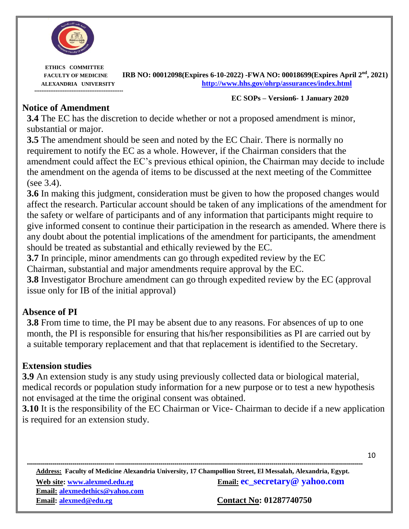

#### **EC SOPs – Version6- <sup>1</sup> January <sup>2020</sup>**

#### **Notice of Amendment**

**3.4** The EC has the discretion to decide whether or not a proposed amendment is minor, substantial or major.

**3.5** The amendment should be seen and noted by the EC Chair. There is normally no requirement to notify the EC as a whole. However, if the Chairman considers that the amendment could affect the EC's previous ethical opinion, the Chairman may decide to include the amendment on the agenda of items to be discussed at the next meeting of the Committee (see 3.4).

**3.6** In making this judgment, consideration must be given to how the proposed changes would affect the research. Particular account should be taken of any implications of the amendment for the safety or welfare of participants and of any information that participants might require to give informed consent to continue their participation in the research as amended. Where there is any doubt about the potential implications of the amendment for participants, the amendment should be treated as substantial and ethically reviewed by the EC.

**3.7** In principle, minor amendments can go through expedited review by the EC

Chairman, substantial and major amendments require approval by the EC.

**3.8** Investigator Brochure amendment can go through expedited review by the EC (approval issue only for IB of the initial approval)

## **Absence of PI**

**3.8** From time to time, the PI may be absent due to any reasons. For absences of up to one month, the PI is responsible for ensuring that his/her responsibilities as PI are carried out by a suitable temporary replacement and that that replacement is identified to the Secretary.

## **Extension studies**

**3.9** An extension study is any study using previously collected data or biological material, medical records or population study information for a new purpose or to test a new hypothesis not envisaged at the time the original consent was obtained.

**3.10** It is the responsibility of the EC Chairman or Vice- Chairman to decide if a new application is required for an extension study.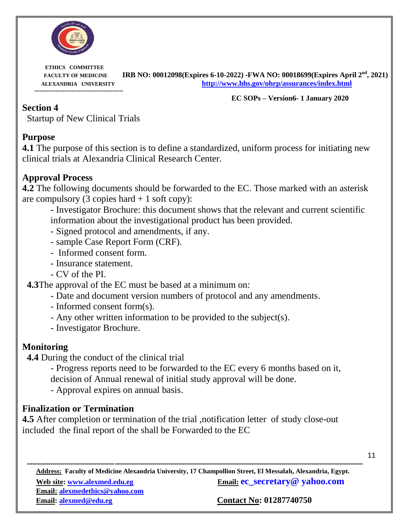

**EC SOPs – Version6- <sup>1</sup> January <sup>2020</sup>**

#### **Section 4**

Startup of New Clinical Trials

#### **Purpose**

**4.1** The purpose of this section is to define a standardized, uniform process for initiating new clinical trials at Alexandria Clinical Research Center.

## **Approval Process**

**4.2** The following documents should be forwarded to the EC. Those marked with an asterisk are compulsory  $(3 \text{ copies hard} + 1 \text{ soft copy})$ :

- Investigator Brochure: this document shows that the relevant and current scientific information about the investigational product has been provided.

- Signed protocol and amendments, if any.
- sample Case Report Form (CRF).
- Informed consent form.
- Insurance statement.
- CV of the PI.

**4.3**The approval of the EC must be based at a minimum on:

- Date and document version numbers of protocol and any amendments.
- Informed consent form(s).
- Any other written information to be provided to the subject(s).
- Investigator Brochure.

## **Monitoring**

**4.4** During the conduct of the clinical trial

- Progress reports need to be forwarded to the EC every 6 months based on it, decision of Annual renewal of initial study approval will be done.
- Approval expires on annual basis.

## **Finalization or Termination**

**4.5** After completion or termination of the trial ,notification letter of study close-out included the final report of the shall be Forwarded to the EC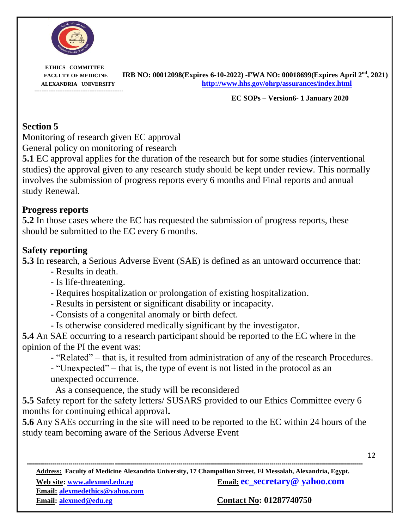

**EC SOPs – Version6- <sup>1</sup> January <sup>2020</sup>**

#### **Section 5**

Monitoring of research given EC approval General policy on monitoring of research

**5.1** EC approval applies for the duration of the research but for some studies (interventional studies) the approval given to any research study should be kept under review. This normally involves the submission of progress reports every 6 months and Final reports and annual study Renewal.

#### **Progress reports**

**5.2** In those cases where the EC has requested the submission of progress reports, these should be submitted to the EC every 6 months.

## **Safety reporting**

**5.3** In research, a Serious Adverse Event (SAE) is defined as an untoward occurrence that:

- Results in death.
- Is life-threatening.
- Requires hospitalization or prolongation of existing hospitalization.
- Results in persistent or significant disability or incapacity.
- Consists of a congenital anomaly or birth defect.
- Is otherwise considered medically significant by the investigator.

**5.4** An SAE occurring to a research participant should be reported to the EC where in the opinion of the PI the event was:

- "Related" – that is, it resulted from administration of any of the research Procedures.

- "Unexpected" – that is, the type of event is not listed in the protocol as an unexpected occurrence.

As a consequence, the study will be reconsidered

**5.5** Safety report for the safety letters/ SUSARS provided to our Ethics Committee every 6 months for continuing ethical approval**.**

**5.6** Any SAEs occurring in the site will need to be reported to the EC within 24 hours of the study team becoming aware of the Serious Adverse Event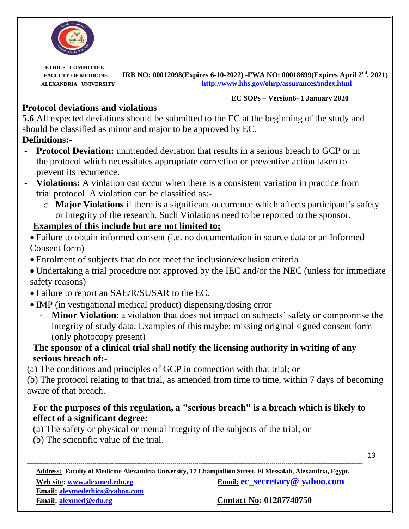

#### **EC SOPs – Version6- <sup>1</sup> January <sup>2020</sup>**

## **Protocol deviations and violations**

**5.6** All expected deviations should be submitted to the EC at the beginning of the study and should be classified as minor and major to be approved by EC.

## **Definitions:-**

- **- Protocol Deviation:** unintended deviation that results in a serious breach to GCP or in the protocol which necessitates appropriate correction or preventive action taken to prevent its recurrence.
- **- Violations:** A violation can occur when there is a consistent variation in practice from trial protocol. A violation can be classified as:
	- o **Major Violations** if there is a significant occurrence which affects participant's safety or integrity of the research. Such Violations need to be reported to the sponsor.

## **Examples of this include but are not limited to;**

- Failure to obtain informed consent (i.e. no documentation in source data or an Informed Consent form)
- Enrolment of subjects that do not meet the inclusion/exclusion criteria
- Undertaking a trial procedure not approved by the IEC and/or the NEC (unless for immediate safety reasons)
- Failure to report an SAE/R/SUSAR to the EC.
- IMP (in vestigational medical product) dispensing/dosing error
	- **- Minor Violation**: a violation that does not impact on subjects' safety or compromise the integrity of study data. Examples of this maybe; missing original signed consent form (only photocopy present)

## **The sponsor of a clinical trial shall notify the licensing authority in writing of any serious breach of:-**

(a) The conditions and principles of GCP in connection with that trial; or

(b) The protocol relating to that trial, as amended from time to time, within 7 days of becoming aware of that breach.

## **For the purposes of this regulation, a "serious breach" is a breach which is likely to effect of a significant degree:** –

- (a) The safety or physical or mental integrity of the subjects of the trial; or
- (b) The scientific value of the trial.

**------------------------------------------------------------------------------------------------------------------------------------------------------------------------- Address: Faculty of Medicine Alexandria University, 17 Champollion Street, El Messalah, Alexandria, Egypt. Web site:** www.alexmed.edu.eg **Email: ec\_secretary** @ yahoo.com **Email: alexmedethics@yahoo.com** 

**Email: alexmed@edu.eg Contact No: 01287740750**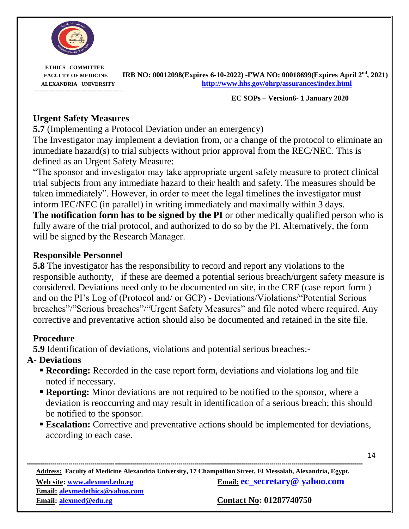

**EC SOPs – Version6- <sup>1</sup> January <sup>2020</sup>**

#### **Urgent Safety Measures**

**5.7** (Implementing a Protocol Deviation under an emergency)

The Investigator may implement a deviation from, or a change of the protocol to eliminate an immediate hazard(s) to trial subjects without prior approval from the REC/NEC. This is defined as an Urgent Safety Measure:

"The sponsor and investigator may take appropriate urgent safety measure to protect clinical trial subjects from any immediate hazard to their health and safety. The measures should be taken immediately". However, in order to meet the legal timelines the investigator must inform IEC/NEC (in parallel) in writing immediately and maximally within 3 days.

**The notification form has to be signed by the PI** or other medically qualified person who is fully aware of the trial protocol, and authorized to do so by the PI. Alternatively, the form will be signed by the Research Manager.

#### **Responsible Personnel**

**5.8** The investigator has the responsibility to record and report any violations to the responsible authority, if these are deemed a potential serious breach/urgent safety measure is considered. Deviations need only to be documented on site, in the CRF (case report form ) and on the PI's Log of (Protocol and/ or GCP) - Deviations/Violations/"Potential Serious breaches"/"Serious breaches"/"Urgent Safety Measures" and file noted where required. Any corrective and preventative action should also be documented and retained in the site file.

#### **Procedure**

**5.9** Identification of deviations, violations and potential serious breaches:-

#### **A- Deviations**

- **Recording:** Recorded in the case report form, deviations and violations log and file noted if necessary.
- **Reporting:** Minor deviations are not required to be notified to the sponsor, where a deviation is reoccurring and may result in identification of a serious breach; this should be notified to the sponsor.
- **Escalation:** Corrective and preventative actions should be implemented for deviations, according to each case.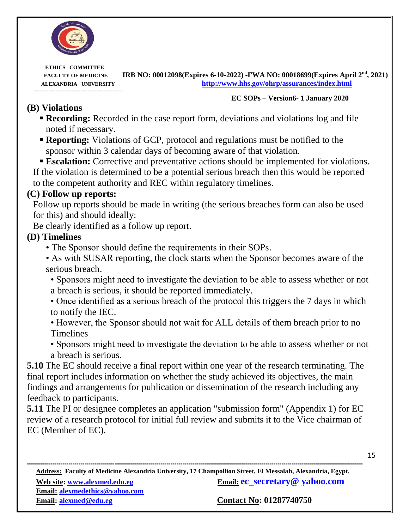

**EC SOPs – Version6- <sup>1</sup> January <sup>2020</sup>**

## **(B) Violations**

- **Recording:** Recorded in the case report form, deviations and violations log and file noted if necessary.
- **Reporting:** Violations of GCP, protocol and regulations must be notified to the sponsor within 3 calendar days of becoming aware of that violation.
- **Escalation:** Corrective and preventative actions should be implemented for violations.

If the violation is determined to be a potential serious breach then this would be reported to the competent authority and REC within regulatory timelines.

#### **(C) Follow up reports:**

Follow up reports should be made in writing (the serious breaches form can also be used for this) and should ideally:

Be clearly identified as a follow up report.

#### **(D) Timelines**

- The Sponsor should define the requirements in their SOPs.
- As with SUSAR reporting, the clock starts when the Sponsor becomes aware of the serious breach.
	- Sponsors might need to investigate the deviation to be able to assess whether or not a breach is serious, it should be reported immediately.
	- Once identified as a serious breach of the protocol this triggers the 7 days in which to notify the IEC.
	- However, the Sponsor should not wait for ALL details of them breach prior to no Timelines
	- Sponsors might need to investigate the deviation to be able to assess whether or not a breach is serious.

**5.10** The EC should receive a final report within one year of the research terminating. The final report includes information on whether the study achieved its objectives, the main findings and arrangements for publication or dissemination of the research including any feedback to participants.

**5.11** The PI or designee completes an application "submission form" (Appendix 1) for EC review of a research protocol for initial full review and submits it to the Vice chairman of EC (Member of EC).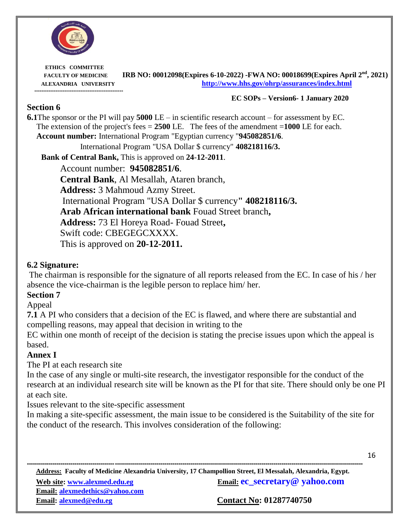

**EC SOPs – Version6- <sup>1</sup> January <sup>2020</sup>**

16

#### **Section 6**

**6.1**The sponsor or the PI will pay **5000** LE – in scientific research account – for assessment by EC. The extension of the project's fees  $= 2500$  LE. The fees of the amendment  $= 1000$  LE for each. **Account number:** International Program "Egyptian currency "**945082851/6**. International Program "USA Dollar \$ currency" **408218116/3.**

**Bank of Central Bank,** This is approved on **24**-**12**-**2011**.

Account number: **945082851/6**. **Central Bank**, Al Mesallah, Ataren branch, **Address:** 3 Mahmoud Azmy Street. International Program "USA Dollar \$ currency**" 408218116/3. Arab African international bank** Fouad Street branch**, Address:** 73 El Horeya Road- Fouad Street**,** Swift code: CBEGEGCXXXX. This is approved on **20-12-2011.** 

#### **6.2 Signature:**

The chairman is responsible for the signature of all reports released from the EC. In case of his / her absence the vice-chairman is the legible person to replace him/ her.

#### **Section 7**

Appeal

**7.1** A PI who considers that a decision of the EC is flawed, and where there are substantial and compelling reasons, may appeal that decision in writing to the

EC within one month of receipt of the decision is stating the precise issues upon which the appeal is based.

#### **Annex I**

The PI at each research site

In the case of any single or multi-site research, the investigator responsible for the conduct of the research at an individual research site will be known as the PI for that site. There should only be one PI at each site.

Issues relevant to the site-specific assessment

In making a site-specific assessment, the main issue to be considered is the Suitability of the site for the conduct of the research. This involves consideration of the following:

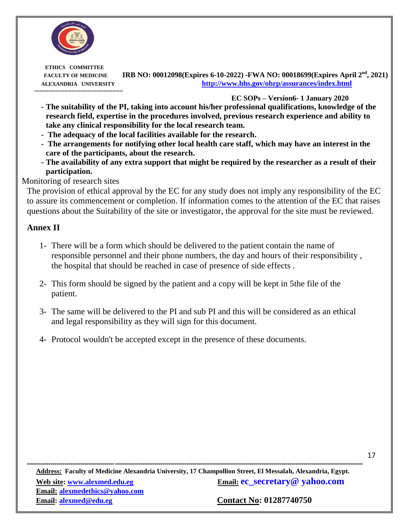

**EC SOPs – Version6- <sup>1</sup> January <sup>2020</sup>**

- **- The suitability of the PI, taking into account his/her professional qualifications, knowledge of the research field, expertise in the procedures involved, previous research experience and ability to take any clinical responsibility for the local research team.**
- **- The adequacy of the local facilities available for the research.**
- **- The arrangements for notifying other local health care staff, which may have an interest in the care of the participants, about the research.**
- **- The availability of any extra support that might be required by the researcher as a result of their participation.**

#### Monitoring of research sites

The provision of ethical approval by the EC for any study does not imply any responsibility of the EC to assure its commencement or completion. If information comes to the attention of the EC that raises questions about the Suitability of the site or investigator, the approval for the site must be reviewed.

#### **Annex II**

- 1- There will be a form which should be delivered to the patient contain the name of responsible personnel and their phone numbers, the day and hours of their responsibility , the hospital that should be reached in case of presence of side effects .
- 2- This form should be signed by the patient and a copy will be kept in 5the file of the patient.
- 3- The same will be delivered to the PI and sub PI and this will be considered as an ethical and legal responsibility as they will sign for this document.
- 4- Protocol wouldn't be accepted except in the presence of these documents.